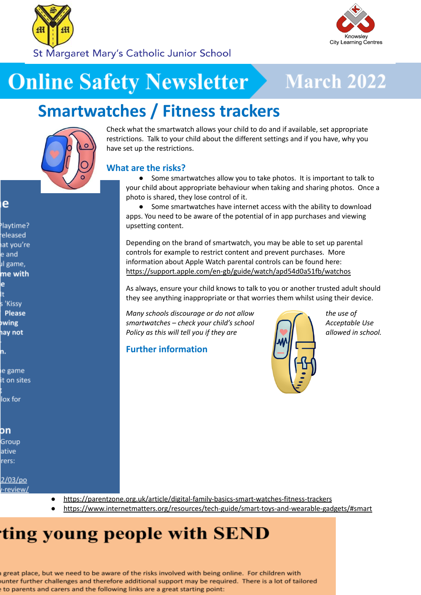



St Margaret Mary's Catholic Junior School

# **Online Safety Newsletter**

## **March 2022**

## **Smartwatches / Fitness trackers**

### e

laytime? eleased at you're e and ıl game, me with ė s 'Kissy Please **owing** ay not

ie game it on sites

lox for

on

Group ative rers:

2/03/po /-review/ Check what the smartwatch allows your child to do and if available, set appropriate restrictions. Talk to your child about the different settings and if you have, why you have set up the restrictions.

### **What are the risks?**

● Some smartwatches allow you to take photos. It is important to talk to your child about appropriate behaviour when taking and sharing photos. Once a photo is shared, they lose control of it.

● Some smartwatches have internet access with the ability to download apps. You need to be aware of the potential of in app purchases and viewing upsetting content.

Depending on the brand of smartwatch, you may be able to set up parental controls for example to restrict content and prevent purchases. More information about Apple Watch parental controls can be found here: <https://support.apple.com/en-gb/guide/watch/apd54d0a51fb/watchos>

As always, ensure your child knows to talk to you or another trusted adult should they see anything inappropriate or that worries them whilst using their device.

*Many schools discourage or do not allow the use of smartwatches – check your child's school Acceptable Use Policy as this will tell you if they are allowed in school.* 

#### **Further information**



● <https://parentzone.org.uk/article/digital-family-basics-smart-watches-fitness-trackers>

● <https://www.internetmatters.org/resources/tech-guide/smart-toys-and-wearable-gadgets/#smart>

## ting young people with SEND

great place, but we need to be aware of the risks involved with being online. For children with ounter further challenges and therefore additional support may be required. There is a lot of tailored to parents and carers and the following links are a great starting point: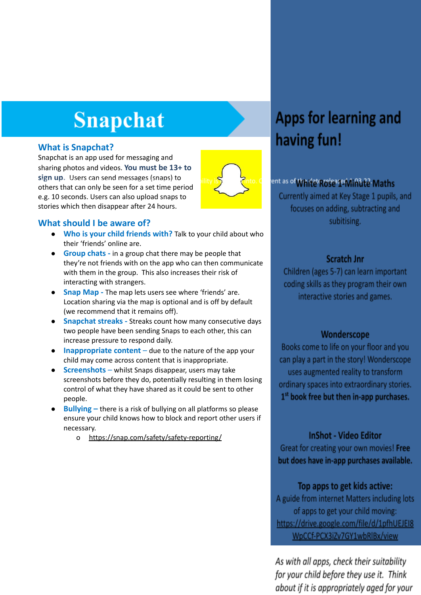# **Snapchat**

#### **What is Snapchat?**

Snapchat is an app used for messaging and sharing photos and videos. **You must be 13+ to sign up.** Users can send messages (snaps) to others that can only be seen for a set time period e.g. 10 seconds. Users can also upload snaps to stories which then disappear after 24 hours.



#### **What should I be aware of?**

- *●* **Who is your child friends with?** Talk to your child about who their 'friends' online are.
- **Group chats -** in a group chat there may be people that they're not friends with on the app who can then communicate with them in the group. This also increases their risk of interacting with strangers.
- **Snap Map -** The map lets users see where 'friends' are. Location sharing via the map is optional and is off by default (we recommend that it remains off).
- **Snapchat streaks** Streaks count how many consecutive days two people have been sending Snaps to each other, this can increase pressure to respond daily.
- **Inappropriate content** due to the nature of the app your child may come across content that is inappropriate.
- **● Screenshots** whilst Snaps disappear, users may take screenshots before they do, potentially resulting in them losing control of what they have shared as it could be sent to other people.
- **Bullying –** there is a risk of bullying on all platforms so please ensure your child knows how to block and report other users if necessary.
	- o <https://snap.com/safety/safety-reporting/>

### Apps for learning and having fun!

#### ent as of WRIRE ROSE JE WINDER Maths

Currently aimed at Key Stage 1 pupils, and focuses on adding, subtracting and subitising.

#### **Scratch Jnr**

Children (ages 5-7) can learn important coding skills as they program their own interactive stories and games.

#### Wonderscope

Books come to life on your floor and you can play a part in the story! Wonderscope uses augmented reality to transform ordinary spaces into extraordinary stories.  $1<sup>st</sup>$  book free but then in-app purchases.

#### **InShot - Video Editor**

Great for creating your own movies! Free but does have in-app purchases available.

#### Top apps to get kids active:

A guide from internet Matters including lots of apps to get your child moving: https://drive.google.com/file/d/1pfhUEJEI8 WpCCf-PCX3iZv7GY1wbRlBx/view

As with all apps, check their suitability for your child before they use it. Think about if it is appropriately aged for your